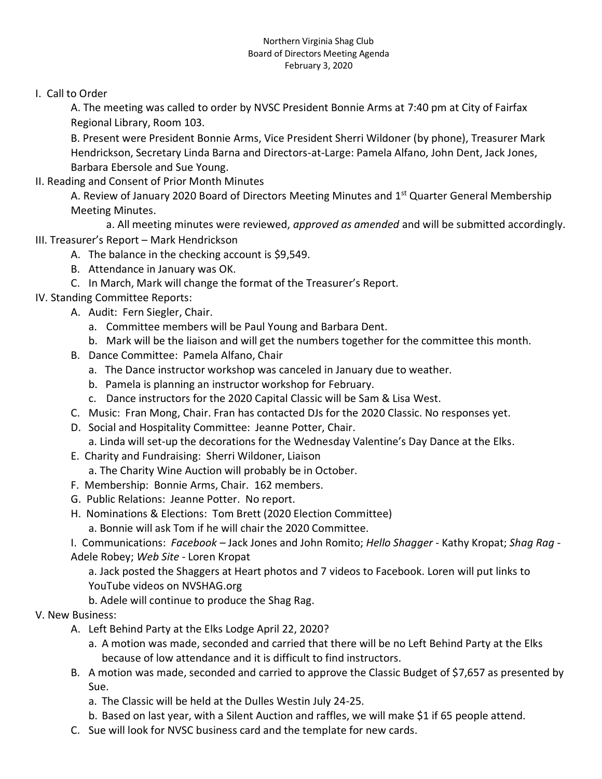## Northern Virginia Shag Club Board of Directors Meeting Agenda February 3, 2020

I. Call to Order

A. The meeting was called to order by NVSC President Bonnie Arms at 7:40 pm at City of Fairfax Regional Library, Room 103.

B. Present were President Bonnie Arms, Vice President Sherri Wildoner (by phone), Treasurer Mark Hendrickson, Secretary Linda Barna and Directors-at-Large: Pamela Alfano, John Dent, Jack Jones, Barbara Ebersole and Sue Young.

II. Reading and Consent of Prior Month Minutes

A. Review of January 2020 Board of Directors Meeting Minutes and 1<sup>st</sup> Quarter General Membership Meeting Minutes.

a. All meeting minutes were reviewed, *approved as amended* and will be submitted accordingly.

- III. Treasurer's Report Mark Hendrickson
	- A. The balance in the checking account is \$9,549.
	- B. Attendance in January was OK.
	- C. In March, Mark will change the format of the Treasurer's Report.
- IV. Standing Committee Reports:
	- A. Audit: Fern Siegler, Chair.
		- a. Committee members will be Paul Young and Barbara Dent.
		- b. Mark will be the liaison and will get the numbers together for the committee this month.
	- B. Dance Committee: Pamela Alfano, Chair
		- a. The Dance instructor workshop was canceled in January due to weather.
		- b. Pamela is planning an instructor workshop for February.
		- c. Dance instructors for the 2020 Capital Classic will be Sam & Lisa West.
	- C. Music: Fran Mong, Chair. Fran has contacted DJs for the 2020 Classic. No responses yet.
	- D. Social and Hospitality Committee: Jeanne Potter, Chair.
		- a. Linda will set-up the decorations for the Wednesday Valentine's Day Dance at the Elks.
	- E. Charity and Fundraising: Sherri Wildoner, Liaison
		- a. The Charity Wine Auction will probably be in October.
	- F. Membership: Bonnie Arms, Chair. 162 members.
	- G. Public Relations: Jeanne Potter. No report.
	- H. Nominations & Elections: Tom Brett (2020 Election Committee)
		- a. Bonnie will ask Tom if he will chair the 2020 Committee.

I. Communications: *Facebook –* Jack Jones and John Romito; *Hello Shagger* - Kathy Kropat; *Shag Rag* - Adele Robey; *Web Site -* Loren Kropat

a. Jack posted the Shaggers at Heart photos and 7 videos to Facebook. Loren will put links to YouTube videos on NVSHAG.org

b. Adele will continue to produce the Shag Rag.

## V. New Business:

- A. Left Behind Party at the Elks Lodge April 22, 2020?
	- a. A motion was made, seconded and carried that there will be no Left Behind Party at the Elks because of low attendance and it is difficult to find instructors.
- B. A motion was made, seconded and carried to approve the Classic Budget of \$7,657 as presented by Sue.
	- a. The Classic will be held at the Dulles Westin July 24-25.
	- b. Based on last year, with a Silent Auction and raffles, we will make \$1 if 65 people attend.
- C. Sue will look for NVSC business card and the template for new cards.